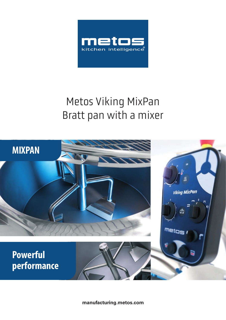

# Metos Viking MixPan Bratt pan with a mixer



**manufacturing.metos.com**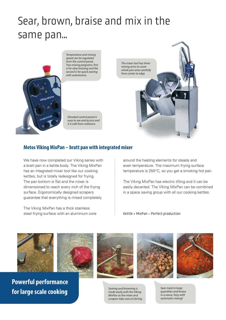# Sear, brown, braise and mix in the same pan...



*Temperature and mixing speed can be regulated from the control panel. Two mixing programs, first is for slow braising and the second is for quick searing with autoreverse.* 

*Elevated control panel is easy to see and access and it is safe from collisions.* 



### **Metos Viking MixPan – bratt pan with integrated mixer**

We have now completed our Viking series with a bratt pan in a kettle body. The Viking MixPan has an integrated mixer tool like our cooking kettles, but is totally redesigned for frying. The pan bottom is flat and the mixer is dimensioned to reach every inch of the frying surface. Ergonomically designed scrapers guarantee that everything is mixed completely.

The Viking MixPan has a thick stainless steel frying surface with an aluminium core around the heating elements for steady and even temperature. The maximum frying surface temperature is 250°C, so you get a smoking hot pan.

The Viking MixPan has electric tilting and it can be easily decanted. The Viking MixPan can be combined in a space saving group with all our cooking kettles.

Kettle + MixPan = Perfect production





**Powerful performance for large scale cooking** 



*made easily with the Viking MixPan as the mixer and scrapers take care of stirring.*





*Sear meat in large quantities and braise in a sauce. Easy with automatic mixing!*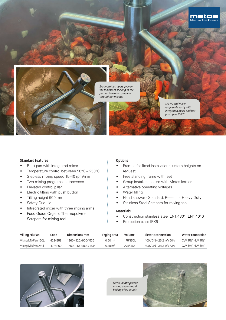

*Stir fry and mix in large scale easily with integrated mixer and hot pan up to 250°C* 

meto

#### Standard features

- Bratt pan with integrated mixer
- Temperature control between 50°C 250°C
- Stepless mixing speed 15-40 rpm/min
- Two mixing programs, autoreverse
- Elevated control pillar
- Electric tilting with push button
- Tilting height 600 mm
- Safety Grid Lid
- Intregrated mixer with three mixing arms
- Food Grade Organic Thermopolymer Scrapers for mixing tool

### **Options**

- Frames for fixed installation (custom heights on request)
- Free standing frame with feet
- Group installation, also with Metos kettles
- Alternative operating voltages
- Water filling
- Hand shower Standard, Reel-in or Heavy Duty
- Stainless Steel Scrapers for mixing tool

#### Materials

- Construction stainless steel EN1.4301, EN1.4016
- Protection class IPX5

| Viking MixPan      | Code    | Dimensions mm      | Frying area        | Volume   | Electric connection  | Water connection                                         |
|--------------------|---------|--------------------|--------------------|----------|----------------------|----------------------------------------------------------|
| Viking MixPan 150L | 4224258 | 1360×920×900/1535  | $0.50 \text{ m}^2$ | 175/150L | 400V 3N~ 26 2 kW 50A | $\mathsf{CM}$ $\cdot$ R1/s" $\mathsf{H}$ W $\cdot$ R1/s" |
| Viking MixPan 250L | 4224260 | 1560×1100×900/1535 | $0.78 \text{ m}^2$ | 275/250L | 400V 3N~38.3 kW 63A  | CW: R1⁄3" HW: R1⁄3"                                      |



*Direct heating while mixing allows rapid boiling of all liquids*